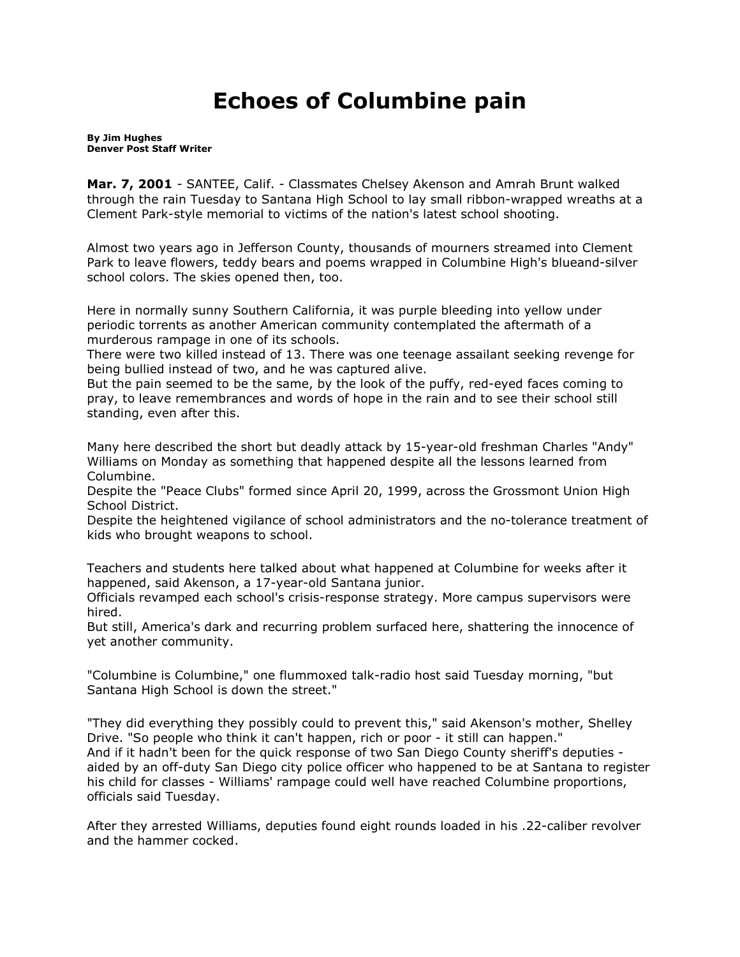## **Echoes of Columbine pain**

**By [Jim Hughes](mailto:newsroom@denverpost.com) Denver Post Staff Writer**

**Mar. 7, 2001** - SANTEE, Calif. - Classmates Chelsey Akenson and Amrah Brunt walked through the rain Tuesday to Santana High School to lay small ribbon-wrapped wreaths at a Clement Park-style memorial to victims of the nation's latest school shooting.

Almost two years ago in Jefferson County, thousands of mourners streamed into Clement Park to leave flowers, teddy bears and poems wrapped in Columbine High's blueand-silver school colors. The skies opened then, too.

Here in normally sunny Southern California, it was purple bleeding into yellow under periodic torrents as another American community contemplated the aftermath of a murderous rampage in one of its schools.

There were two killed instead of 13. There was one teenage assailant seeking revenge for being bullied instead of two, and he was captured alive.

But the pain seemed to be the same, by the look of the puffy, red-eyed faces coming to pray, to leave remembrances and words of hope in the rain and to see their school still standing, even after this.

Many here described the short but deadly attack by 15-year-old freshman Charles "Andy" Williams on Monday as something that happened despite all the lessons learned from Columbine.

Despite the "Peace Clubs" formed since April 20, 1999, across the Grossmont Union High School District.

Despite the heightened vigilance of school administrators and the no-tolerance treatment of kids who brought weapons to school.

Teachers and students here talked about what happened at Columbine for weeks after it happened, said Akenson, a 17-year-old Santana junior.

Officials revamped each school's crisis-response strategy. More campus supervisors were hired.

But still, America's dark and recurring problem surfaced here, shattering the innocence of yet another community.

"Columbine is Columbine," one flummoxed talk-radio host said Tuesday morning, "but Santana High School is down the street."

"They did everything they possibly could to prevent this," said Akenson's mother, Shelley Drive. "So people who think it can't happen, rich or poor - it still can happen." And if it hadn't been for the quick response of two San Diego County sheriff's deputies aided by an off-duty San Diego city police officer who happened to be at Santana to register his child for classes - Williams' rampage could well have reached Columbine proportions, officials said Tuesday.

After they arrested Williams, deputies found eight rounds loaded in his .22-caliber revolver and the hammer cocked.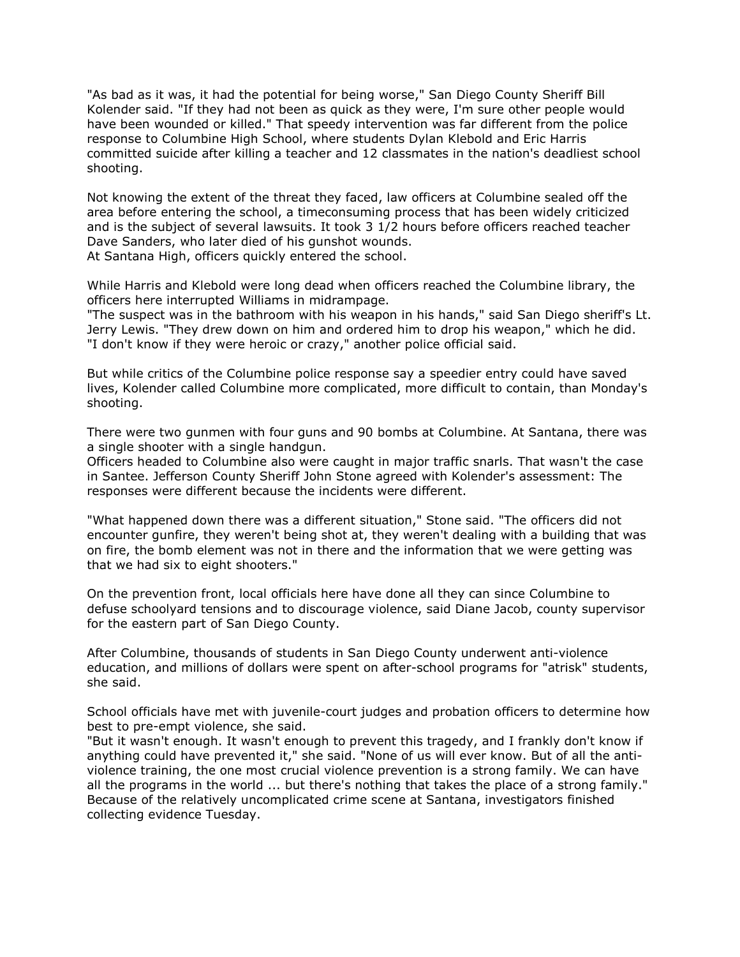"As bad as it was, it had the potential for being worse," San Diego County Sheriff Bill Kolender said. "If they had not been as quick as they were, I'm sure other people would have been wounded or killed." That speedy intervention was far different from the police response to Columbine High School, where students Dylan Klebold and Eric Harris committed suicide after killing a teacher and 12 classmates in the nation's deadliest school shooting.

Not knowing the extent of the threat they faced, law officers at Columbine sealed off the area before entering the school, a timeconsuming process that has been widely criticized and is the subject of several lawsuits. It took 3 1/2 hours before officers reached teacher Dave Sanders, who later died of his gunshot wounds. At Santana High, officers quickly entered the school.

While Harris and Klebold were long dead when officers reached the Columbine library, the officers here interrupted Williams in midrampage.

"The suspect was in the bathroom with his weapon in his hands," said San Diego sheriff's Lt. Jerry Lewis. "They drew down on him and ordered him to drop his weapon," which he did. "I don't know if they were heroic or crazy," another police official said.

But while critics of the Columbine police response say a speedier entry could have saved lives, Kolender called Columbine more complicated, more difficult to contain, than Monday's shooting.

There were two gunmen with four guns and 90 bombs at Columbine. At Santana, there was a single shooter with a single handgun.

Officers headed to Columbine also were caught in major traffic snarls. That wasn't the case in Santee. Jefferson County Sheriff John Stone agreed with Kolender's assessment: The responses were different because the incidents were different.

"What happened down there was a different situation," Stone said. "The officers did not encounter gunfire, they weren't being shot at, they weren't dealing with a building that was on fire, the bomb element was not in there and the information that we were getting was that we had six to eight shooters."

On the prevention front, local officials here have done all they can since Columbine to defuse schoolyard tensions and to discourage violence, said Diane Jacob, county supervisor for the eastern part of San Diego County.

After Columbine, thousands of students in San Diego County underwent anti-violence education, and millions of dollars were spent on after-school programs for "atrisk" students, she said.

School officials have met with juvenile-court judges and probation officers to determine how best to pre-empt violence, she said.

"But it wasn't enough. It wasn't enough to prevent this tragedy, and I frankly don't know if anything could have prevented it," she said. "None of us will ever know. But of all the antiviolence training, the one most crucial violence prevention is a strong family. We can have all the programs in the world ... but there's nothing that takes the place of a strong family." Because of the relatively uncomplicated crime scene at Santana, investigators finished collecting evidence Tuesday.